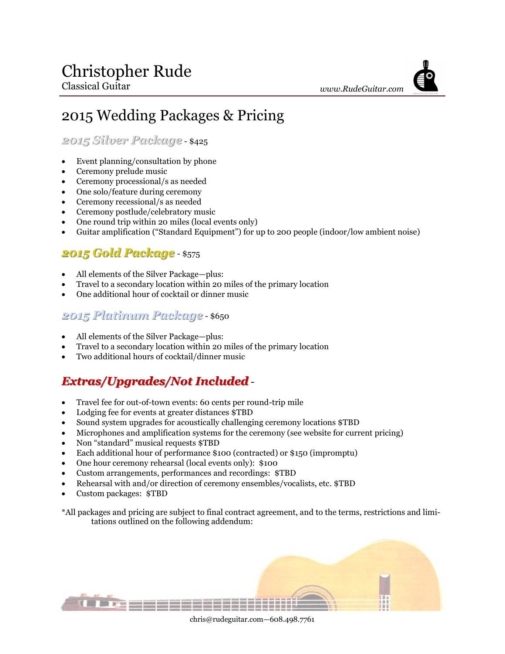# 2015 Wedding Packages & Pricing

*2015 Silver Package* - \$425

- Event planning/consultation by phone
- Ceremony prelude music
- Ceremony processional/s as needed
- One solo/feature during ceremony
- Ceremony recessional/s as needed
- Ceremony postlude/celebratory music
- One round trip within 20 miles (local events only)
- Guitar amplification ("Standard Equipment") for up to 200 people (indoor/low ambient noise)

## *2015 Gold Package* - \$575

- All elements of the Silver Package—plus:
- Travel to a secondary location within 20 miles of the primary location
- One additional hour of cocktail or dinner music

### *2015 Platinum Package* - \$650

- All elements of the Silver Package—plus:
- Travel to a secondary location within 20 miles of the primary location
- Two additional hours of cocktail/dinner music

# *Extras/Upgrades/Not Included*-

- Travel fee for out-of-town events: 60 cents per round-trip mile
- Lodging fee for events at greater distances \$TBD
- Sound system upgrades for acoustically challenging ceremony locations \$TBD
- Microphones and amplification systems for the ceremony (see website for current pricing)
- Non "standard" musical requests \$TBD
- Each additional hour of performance \$100 (contracted) or \$150 (impromptu)
- One hour ceremony rehearsal (local events only): \$100
- Custom arrangements, performances and recordings: \$TBD
- Rehearsal with and/or direction of ceremony ensembles/vocalists, etc. \$TBD
- Custom packages: \$TBD

\*All packages and pricing are subject to final contract agreement, and to the terms, restrictions and limitations outlined on the following addendum:



chris@rudeguitar.com—608.498.7761